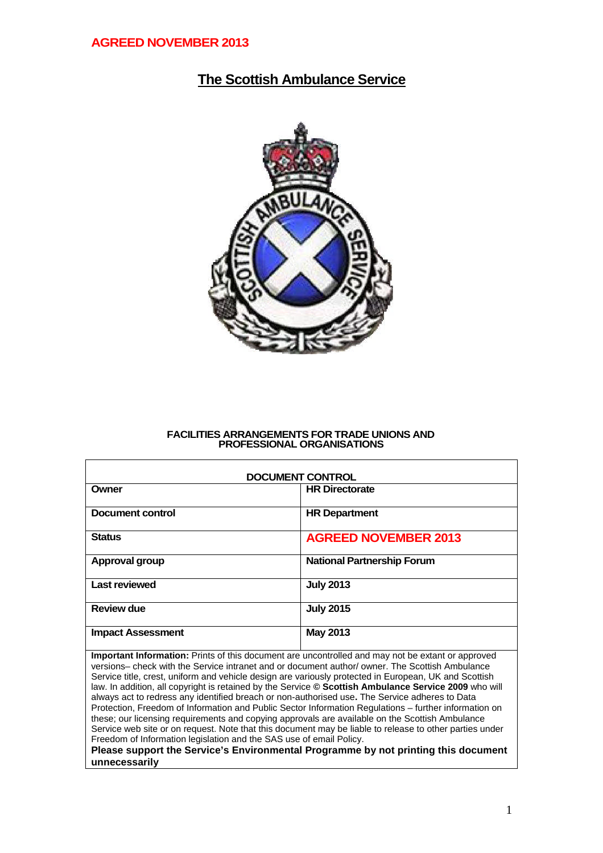## **The Scottish Ambulance Service**



#### **FACILITIES ARRANGEMENTS FOR TRADE UNIONS AND PROFESSIONAL ORGANISATIONS**

| <b>DOCUMENT CONTROL</b>  |                                   |  |  |  |  |
|--------------------------|-----------------------------------|--|--|--|--|
| Owner                    | <b>HR Directorate</b>             |  |  |  |  |
| Document control         | <b>HR Department</b>              |  |  |  |  |
| <b>Status</b>            | <b>AGREED NOVEMBER 2013</b>       |  |  |  |  |
| Approval group           | <b>National Partnership Forum</b> |  |  |  |  |
| <b>Last reviewed</b>     | <b>July 2013</b>                  |  |  |  |  |
| <b>Review due</b>        | <b>July 2015</b>                  |  |  |  |  |
| <b>Impact Assessment</b> | May 2013                          |  |  |  |  |

**Important Information:** Prints of this document are uncontrolled and may not be extant or approved versions– check with the Service intranet and or document author/ owner. The Scottish Ambulance Service title, crest, uniform and vehicle design are variously protected in European, UK and Scottish law. In addition, all copyright is retained by the Service **© Scottish Ambulance Service 2009** who will always act to redress any identified breach or non-authorised use**.** The Service adheres to Data Protection, Freedom of Information and Public Sector Information Regulations – further information on these; our licensing requirements and copying approvals are available on the Scottish Ambulance Service web site or on request. Note that this document may be liable to release to other parties under Freedom of Information legislation and the SAS use of email Policy.

**Please support the Service's Environmental Programme by not printing this document unnecessarily**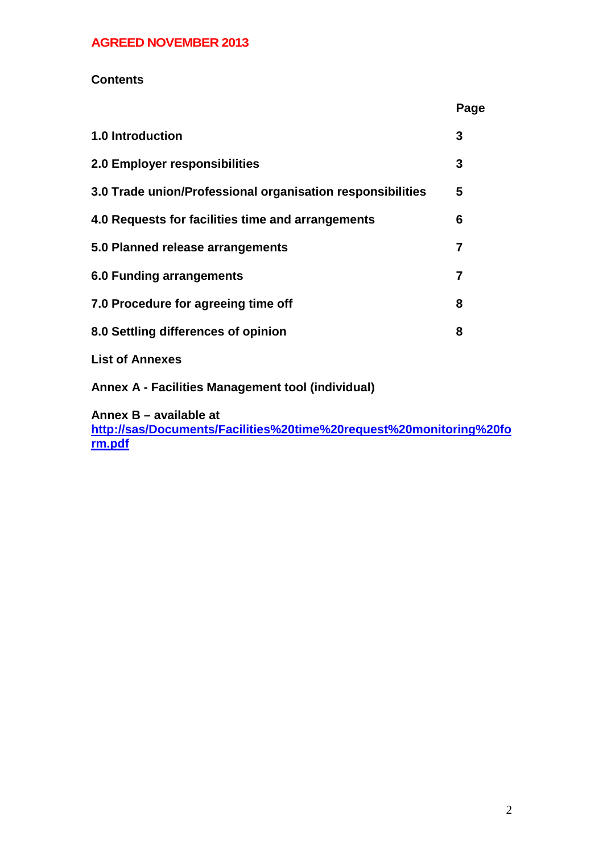### **Contents**

|                                                            | Page |
|------------------------------------------------------------|------|
| <b>1.0 Introduction</b>                                    | 3    |
| 2.0 Employer responsibilities                              | 3    |
| 3.0 Trade union/Professional organisation responsibilities | 5    |
| 4.0 Requests for facilities time and arrangements          | 6    |
| 5.0 Planned release arrangements                           | 7    |
| 6.0 Funding arrangements                                   | 7    |
| 7.0 Procedure for agreeing time off                        | 8    |
| 8.0 Settling differences of opinion                        | 8    |
| <b>List of Annexes</b>                                     |      |

**Annex A - Facilities Management tool (individual)**

**Annex B – available at**

**http://sas/Documents/Facilities%20time%20request%20monitoring%20fo rm.pdf**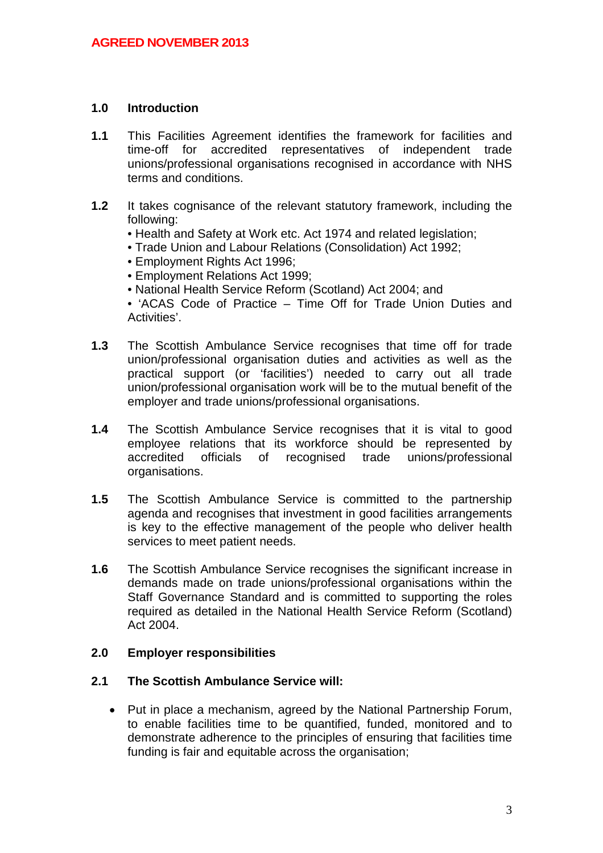#### **1.0 Introduction**

- **1.1** This Facilities Agreement identifies the framework for facilities and time-off for accredited representatives of independent trade unions/professional organisations recognised in accordance with NHS terms and conditions.
- **1.2** It takes cognisance of the relevant statutory framework, including the following:
	- Health and Safety at Work etc. Act 1974 and related legislation;
	- Trade Union and Labour Relations (Consolidation) Act 1992;
	- Employment Rights Act 1996;
	- Employment Relations Act 1999;
	- National Health Service Reform (Scotland) Act 2004; and
	- 'ACAS Code of Practice Time Off for Trade Union Duties and Activities'.
- **1.3** The Scottish Ambulance Service recognises that time off for trade union/professional organisation duties and activities as well as the practical support (or 'facilities') needed to carry out all trade union/professional organisation work will be to the mutual benefit of the employer and trade unions/professional organisations.
- **1.4** The Scottish Ambulance Service recognises that it is vital to good employee relations that its workforce should be represented by accredited officials of recognised trade unions/professional organisations.
- **1.5** The Scottish Ambulance Service is committed to the partnership agenda and recognises that investment in good facilities arrangements is key to the effective management of the people who deliver health services to meet patient needs.
- **1.6** The Scottish Ambulance Service recognises the significant increase in demands made on trade unions/professional organisations within the Staff Governance Standard and is committed to supporting the roles required as detailed in the National Health Service Reform (Scotland) Act 2004.

#### **2.0 Employer responsibilities**

#### **2.1 The Scottish Ambulance Service will:**

• Put in place a mechanism, agreed by the National Partnership Forum, to enable facilities time to be quantified, funded, monitored and to demonstrate adherence to the principles of ensuring that facilities time funding is fair and equitable across the organisation;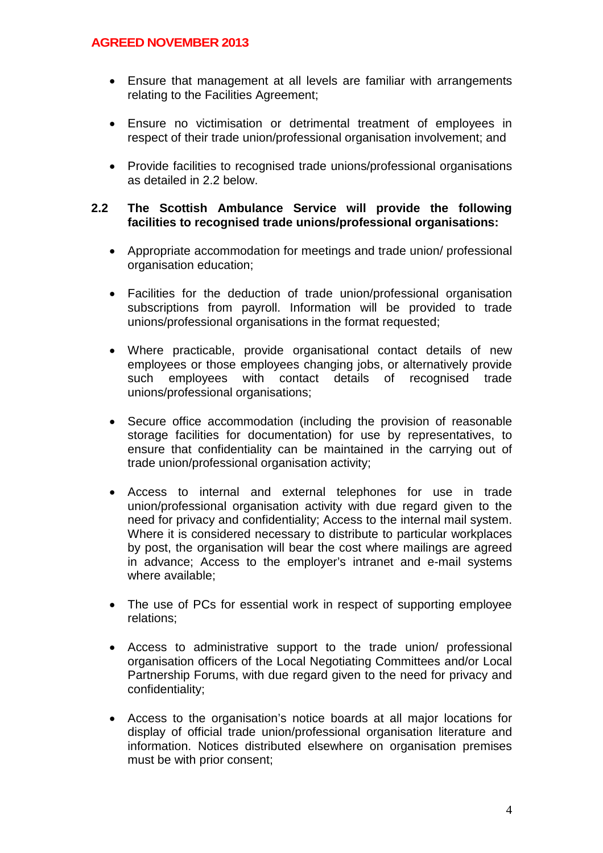- Ensure that management at all levels are familiar with arrangements relating to the Facilities Agreement;
- Ensure no victimisation or detrimental treatment of employees in respect of their trade union/professional organisation involvement; and
- Provide facilities to recognised trade unions/professional organisations as detailed in 2.2 below.

#### **2.2 The Scottish Ambulance Service will provide the following facilities to recognised trade unions/professional organisations:**

- Appropriate accommodation for meetings and trade union/ professional organisation education;
- Facilities for the deduction of trade union/professional organisation subscriptions from payroll. Information will be provided to trade unions/professional organisations in the format requested;
- Where practicable, provide organisational contact details of new employees or those employees changing jobs, or alternatively provide such employees with contact details of recognised trade unions/professional organisations;
- Secure office accommodation (including the provision of reasonable storage facilities for documentation) for use by representatives, to ensure that confidentiality can be maintained in the carrying out of trade union/professional organisation activity;
- Access to internal and external telephones for use in trade union/professional organisation activity with due regard given to the need for privacy and confidentiality; Access to the internal mail system. Where it is considered necessary to distribute to particular workplaces by post, the organisation will bear the cost where mailings are agreed in advance; Access to the employer's intranet and e-mail systems where available;
- The use of PCs for essential work in respect of supporting employee relations;
- Access to administrative support to the trade union/ professional organisation officers of the Local Negotiating Committees and/or Local Partnership Forums, with due regard given to the need for privacy and confidentiality;
- Access to the organisation's notice boards at all major locations for display of official trade union/professional organisation literature and information. Notices distributed elsewhere on organisation premises must be with prior consent;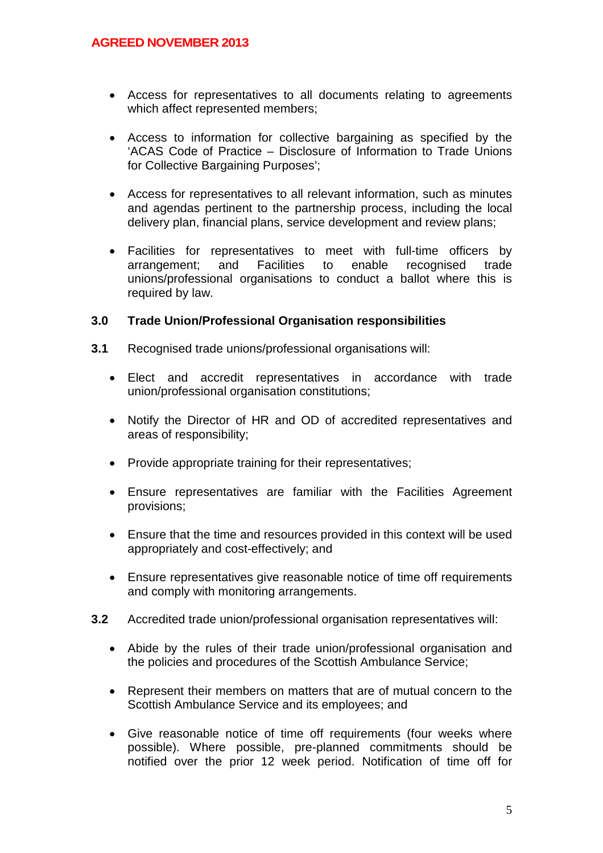- Access for representatives to all documents relating to agreements which affect represented members;
- Access to information for collective bargaining as specified by the 'ACAS Code of Practice – Disclosure of Information to Trade Unions for Collective Bargaining Purposes';
- Access for representatives to all relevant information, such as minutes and agendas pertinent to the partnership process, including the local delivery plan, financial plans, service development and review plans;
- Facilities for representatives to meet with full-time officers by arrangement; and Facilities to enable recognised trade unions/professional organisations to conduct a ballot where this is required by law.

#### **3.0 Trade Union/Professional Organisation responsibilities**

- **3.1** Recognised trade unions/professional organisations will:
	- Elect and accredit representatives in accordance with trade union/professional organisation constitutions;
	- Notify the Director of HR and OD of accredited representatives and areas of responsibility;
	- Provide appropriate training for their representatives;
	- Ensure representatives are familiar with the Facilities Agreement provisions;
	- Ensure that the time and resources provided in this context will be used appropriately and cost-effectively; and
	- Ensure representatives give reasonable notice of time off requirements and comply with monitoring arrangements.
- **3.2** Accredited trade union/professional organisation representatives will:
	- Abide by the rules of their trade union/professional organisation and the policies and procedures of the Scottish Ambulance Service;
	- Represent their members on matters that are of mutual concern to the Scottish Ambulance Service and its employees; and
	- Give reasonable notice of time off requirements (four weeks where possible). Where possible, pre-planned commitments should be notified over the prior 12 week period. Notification of time off for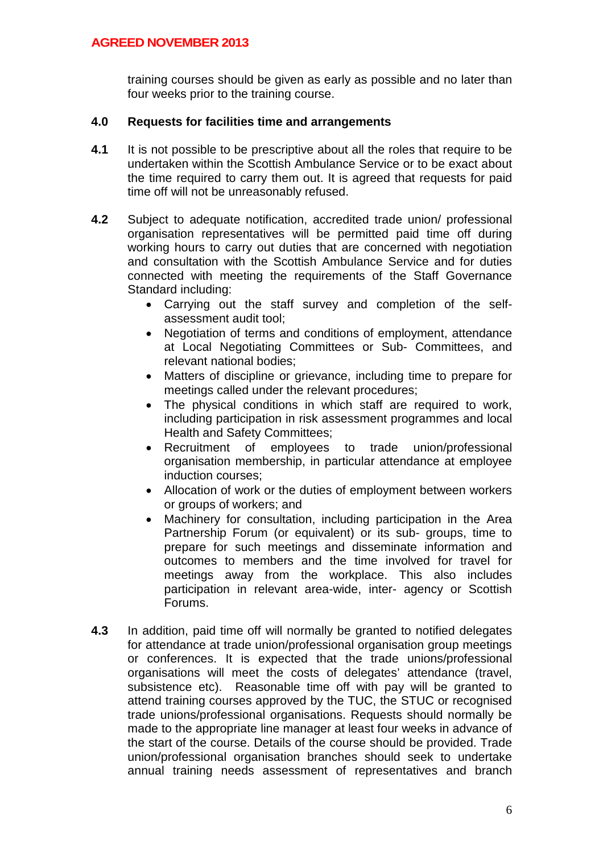training courses should be given as early as possible and no later than four weeks prior to the training course.

#### **4.0 Requests for facilities time and arrangements**

- **4.1** It is not possible to be prescriptive about all the roles that require to be undertaken within the Scottish Ambulance Service or to be exact about the time required to carry them out. It is agreed that requests for paid time off will not be unreasonably refused.
- **4.2** Subject to adequate notification, accredited trade union/ professional organisation representatives will be permitted paid time off during working hours to carry out duties that are concerned with negotiation and consultation with the Scottish Ambulance Service and for duties connected with meeting the requirements of the Staff Governance Standard including:
	- Carrying out the staff survey and completion of the selfassessment audit tool;
	- Negotiation of terms and conditions of employment, attendance at Local Negotiating Committees or Sub- Committees, and relevant national bodies;
	- Matters of discipline or grievance, including time to prepare for meetings called under the relevant procedures;
	- The physical conditions in which staff are required to work, including participation in risk assessment programmes and local Health and Safety Committees;
	- Recruitment of employees to trade union/professional organisation membership, in particular attendance at employee induction courses;
	- Allocation of work or the duties of employment between workers or groups of workers; and
	- Machinery for consultation, including participation in the Area Partnership Forum (or equivalent) or its sub- groups, time to prepare for such meetings and disseminate information and outcomes to members and the time involved for travel for meetings away from the workplace. This also includes participation in relevant area-wide, inter- agency or Scottish Forums.
- **4.3** In addition, paid time off will normally be granted to notified delegates for attendance at trade union/professional organisation group meetings or conferences. It is expected that the trade unions/professional organisations will meet the costs of delegates' attendance (travel, subsistence etc). Reasonable time off with pay will be granted to attend training courses approved by the TUC, the STUC or recognised trade unions/professional organisations. Requests should normally be made to the appropriate line manager at least four weeks in advance of the start of the course. Details of the course should be provided. Trade union/professional organisation branches should seek to undertake annual training needs assessment of representatives and branch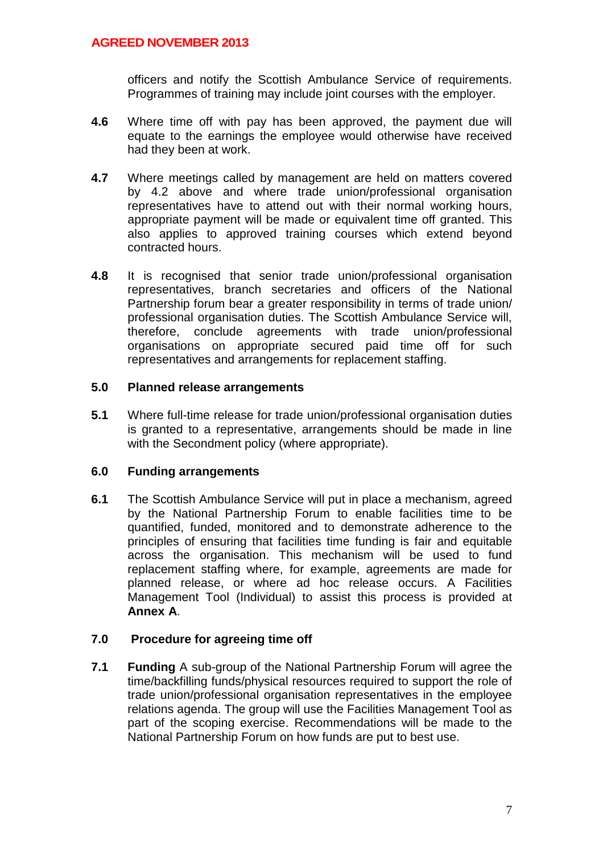officers and notify the Scottish Ambulance Service of requirements. Programmes of training may include joint courses with the employer.

- **4.6** Where time off with pay has been approved, the payment due will equate to the earnings the employee would otherwise have received had they been at work.
- **4.7** Where meetings called by management are held on matters covered by 4.2 above and where trade union/professional organisation representatives have to attend out with their normal working hours, appropriate payment will be made or equivalent time off granted. This also applies to approved training courses which extend beyond contracted hours.
- **4.8** It is recognised that senior trade union/professional organisation representatives, branch secretaries and officers of the National Partnership forum bear a greater responsibility in terms of trade union/ professional organisation duties. The Scottish Ambulance Service will, therefore, conclude agreements with trade union/professional organisations on appropriate secured paid time off for such representatives and arrangements for replacement staffing.

#### **5.0 Planned release arrangements**

**5.1** Where full-time release for trade union/professional organisation duties is granted to a representative, arrangements should be made in line with the Secondment policy (where appropriate).

#### **6.0 Funding arrangements**

**6.1** The Scottish Ambulance Service will put in place a mechanism, agreed by the National Partnership Forum to enable facilities time to be quantified, funded, monitored and to demonstrate adherence to the principles of ensuring that facilities time funding is fair and equitable across the organisation. This mechanism will be used to fund replacement staffing where, for example, agreements are made for planned release, or where ad hoc release occurs. A Facilities Management Tool (Individual) to assist this process is provided at **Annex A**.

#### **7.0 Procedure for agreeing time off**

**7.1 Funding** A sub-group of the National Partnership Forum will agree the time/backfilling funds/physical resources required to support the role of trade union/professional organisation representatives in the employee relations agenda. The group will use the Facilities Management Tool as part of the scoping exercise. Recommendations will be made to the National Partnership Forum on how funds are put to best use.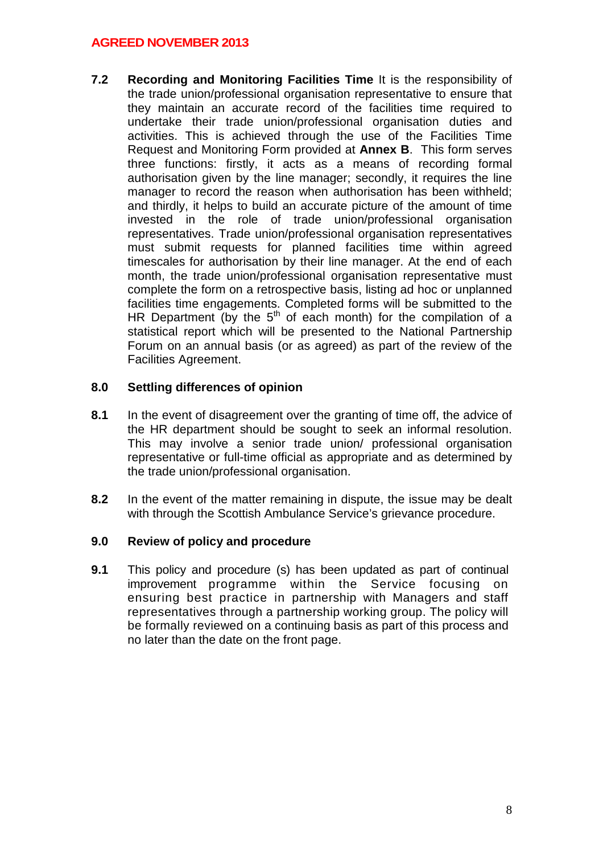**7.2 Recording and Monitoring Facilities Time** It is the responsibility of the trade union/professional organisation representative to ensure that they maintain an accurate record of the facilities time required to undertake their trade union/professional organisation duties and activities. This is achieved through the use of the Facilities Time Request and Monitoring Form provided at **Annex B**. This form serves three functions: firstly, it acts as a means of recording formal authorisation given by the line manager; secondly, it requires the line manager to record the reason when authorisation has been withheld; and thirdly, it helps to build an accurate picture of the amount of time invested in the role of trade union/professional organisation representatives. Trade union/professional organisation representatives must submit requests for planned facilities time within agreed timescales for authorisation by their line manager. At the end of each month, the trade union/professional organisation representative must complete the form on a retrospective basis, listing ad hoc or unplanned facilities time engagements. Completed forms will be submitted to the HR Department (by the  $5<sup>th</sup>$  of each month) for the compilation of a statistical report which will be presented to the National Partnership Forum on an annual basis (or as agreed) as part of the review of the Facilities Agreement.

### **8.0 Settling differences of opinion**

- **8.1** In the event of disagreement over the granting of time off, the advice of the HR department should be sought to seek an informal resolution. This may involve a senior trade union/ professional organisation representative or full-time official as appropriate and as determined by the trade union/professional organisation.
- **8.2** In the event of the matter remaining in dispute, the issue may be dealt with through the Scottish Ambulance Service's grievance procedure.

#### **9.0 Review of policy and procedure**

**9.1** This policy and procedure (s) has been updated as part of continual improvement programme within the Service focusing on ensuring best practice in partnership with Managers and staff representatives through a partnership working group. The policy will be formally reviewed on a continuing basis as part of this process and no later than the date on the front page.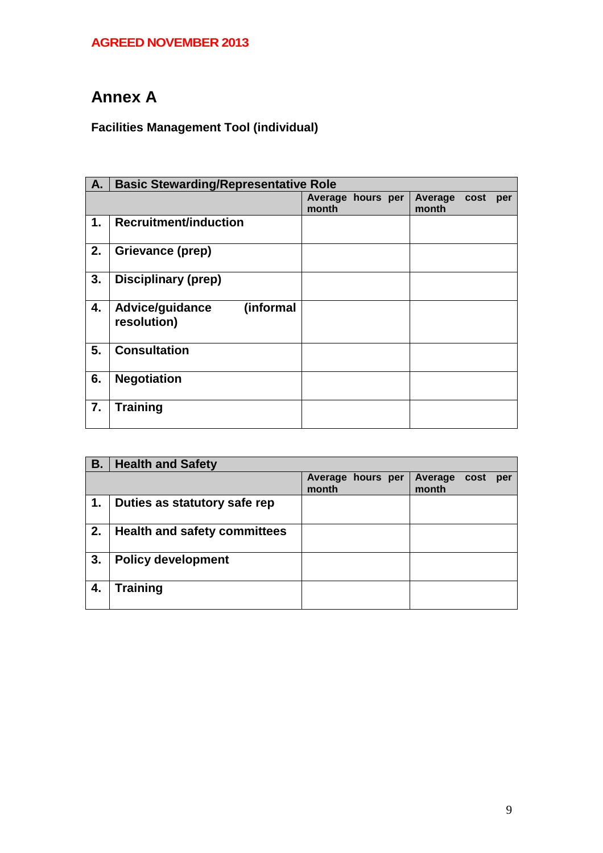# **Annex A**

## **Facilities Management Tool (individual)**

| A. | <b>Basic Stewarding/Representative Role</b> |                            |  |  |                  |      |     |
|----|---------------------------------------------|----------------------------|--|--|------------------|------|-----|
|    |                                             | Average hours per<br>month |  |  | Average<br>month | cost | per |
| 1. | <b>Recruitment/induction</b>                |                            |  |  |                  |      |     |
| 2. | Grievance (prep)                            |                            |  |  |                  |      |     |
| 3. | <b>Disciplinary (prep)</b>                  |                            |  |  |                  |      |     |
| 4. | (informal<br>Advice/guidance<br>resolution) |                            |  |  |                  |      |     |
| 5. | <b>Consultation</b>                         |                            |  |  |                  |      |     |
| 6. | <b>Negotiation</b>                          |                            |  |  |                  |      |     |
| 7. | <b>Training</b>                             |                            |  |  |                  |      |     |

| <b>B.</b> | <b>Health and Safety</b>            |                            |                                        |
|-----------|-------------------------------------|----------------------------|----------------------------------------|
|           |                                     | Average hours per<br>month | <b>Average</b><br>cost<br>per<br>month |
| .1        | Duties as statutory safe rep        |                            |                                        |
| 2.        | <b>Health and safety committees</b> |                            |                                        |
| 3.        | <b>Policy development</b>           |                            |                                        |
| 4.        | <b>Training</b>                     |                            |                                        |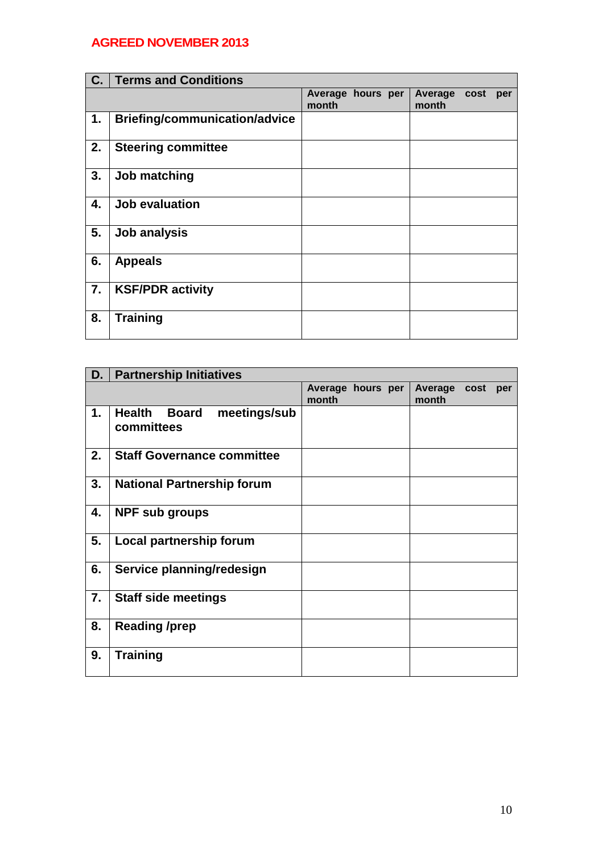| C. | <b>Terms and Conditions</b>          |                            |                                 |
|----|--------------------------------------|----------------------------|---------------------------------|
|    |                                      | Average hours per<br>month | Average<br>cost<br>per<br>month |
| 1. | <b>Briefing/communication/advice</b> |                            |                                 |
| 2. | <b>Steering committee</b>            |                            |                                 |
| 3. | Job matching                         |                            |                                 |
| 4. | Job evaluation                       |                            |                                 |
| 5. | Job analysis                         |                            |                                 |
| 6. | <b>Appeals</b>                       |                            |                                 |
| 7. | <b>KSF/PDR activity</b>              |                            |                                 |
| 8. | <b>Training</b>                      |                            |                                 |

| D. | <b>Partnership Initiatives</b>                              |                            |  |                  |      |     |
|----|-------------------------------------------------------------|----------------------------|--|------------------|------|-----|
|    |                                                             | Average hours per<br>month |  | Average<br>month | cost | per |
| 1. | <b>Health</b><br>meetings/sub<br><b>Board</b><br>committees |                            |  |                  |      |     |
| 2. | <b>Staff Governance committee</b>                           |                            |  |                  |      |     |
| 3. | <b>National Partnership forum</b>                           |                            |  |                  |      |     |
| 4. | <b>NPF sub groups</b>                                       |                            |  |                  |      |     |
| 5. | Local partnership forum                                     |                            |  |                  |      |     |
| 6. | Service planning/redesign                                   |                            |  |                  |      |     |
| 7. | <b>Staff side meetings</b>                                  |                            |  |                  |      |     |
| 8. | <b>Reading /prep</b>                                        |                            |  |                  |      |     |
| 9. | <b>Training</b>                                             |                            |  |                  |      |     |